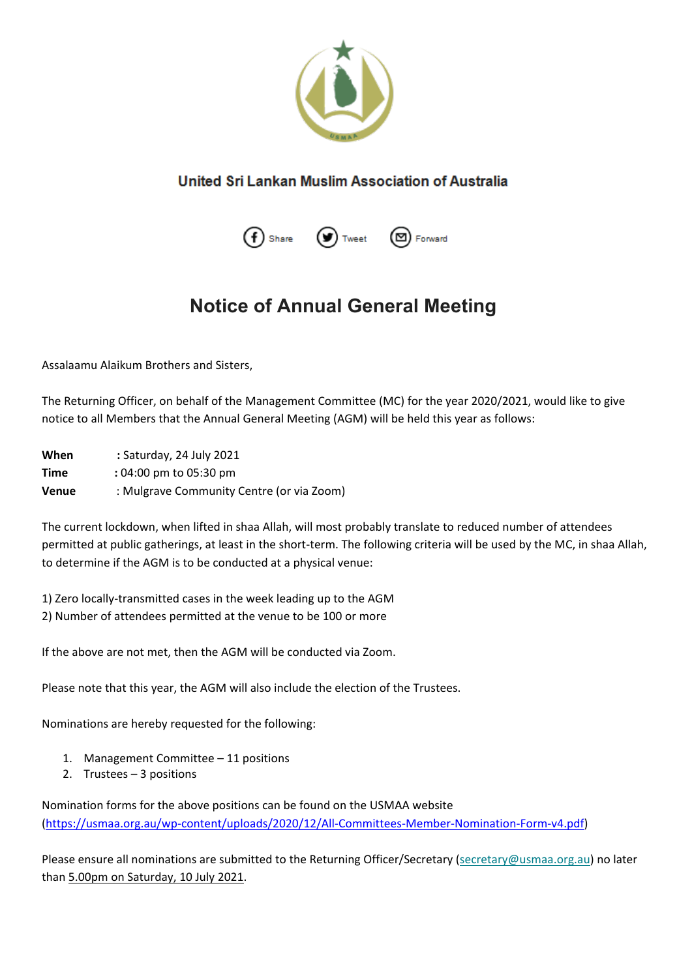

## United Sri Lankan Muslim Association of Australia



## **Notice of Annual General Meeting**

Assalaamu Alaikum Brothers and Sisters,

The Returning Officer, on behalf of the Management Committee (MC) for the year 2020/2021, would like to give notice to all Members that the Annual General Meeting (AGM) will be held this year as follows:

**When :** Saturday, 24 July 2021 **Time :** 04:00 pm to 05:30 pm **Venue** : Mulgrave Community Centre (or via Zoom)

The current lockdown, when lifted in shaa Allah, will most probably translate to reduced number of attendees permitted at public gatherings, at least in the short-term. The following criteria will be used by the MC, in shaa Allah, to determine if the AGM is to be conducted at a physical venue:

1) Zero locally-transmitted cases in the week leading up to the AGM 2) Number of attendees permitted at the venue to be 100 or more

If the above are not met, then the AGM will be conducted via Zoom.

Please note that this year, the AGM will also include the election of the Trustees.

Nominations are hereby requested for the following:

- 1. Management Committee 11 positions
- 2. Trustees 3 positions

Nomination forms for the above positions can be found on the USMAA website [\(https://usmaa.org.au/wp-content/uploads/2020/12/All-Committees-Member-Nomination-Form-v4.pdf\)](https://usmaa.org.au/wp-content/uploads/2020/12/All-Committees-Member-Nomination-Form-v4.pdf)

Please ensure all nominations are submitted to the Returning Officer/Secretary [\(secretary@usmaa.org.au\)](mailto:secretary@usmaa.org.au) no later than 5.00pm on Saturday, 10 July 2021.